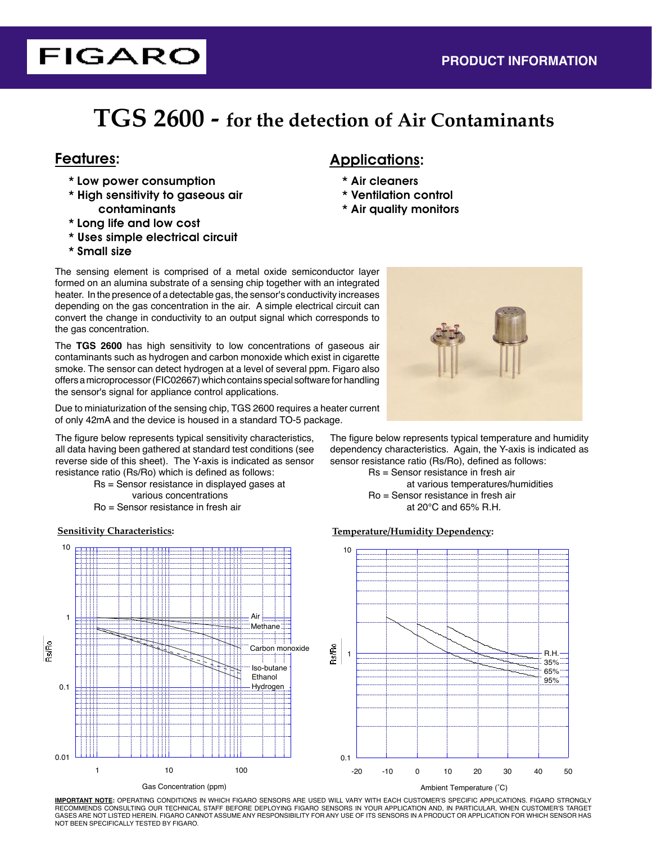# **TGS 2600 - for the detection of Air Contaminants**

\* Low power consumption

**FIGARO** 

- \* High sensitivity to gaseous air contaminants
- \* Long life and low cost
- \* Uses simple electrical circuit
- \* Small size

## Features: Applications:

- \* Air cleaners
- \* Ventilation control
- \* Air quality monitors

The sensing element is comprised of a metal oxide semiconductor layer formed on an alumina substrate of a sensing chip together with an integrated heater. In the presence of a detectable gas, the sensor's conductivity increases depending on the gas concentration in the air. A simple electrical circuit can convert the change in conductivity to an output signal which corresponds to the gas concentration.

The **TGS 2600** has high sensitivity to low concentrations of gaseous air contaminants such as hydrogen and carbon monoxide which exist in cigarette smoke. The sensor can detect hydrogen at a level of several ppm. Figaro also offers a microprocessor (FIC02667) which contains special software for handling the sensor's signal for appliance control applications.

Due to miniaturization of the sensing chip, TGS 2600 requires a heater current of only 42mA and the device is housed in a standard TO-5 package.

The figure below represents typical sensitivity characteristics, all data having been gathered at standard test conditions (see reverse side of this sheet). The Y-axis is indicated as sensor resistance ratio (Rs/Ro) which is defined as follows:

 Rs = Sensor resistance in displayed gases at various concentrations

Ro = Sensor resistance in fresh air





The figure below represents typical temperature and humidity dependency characteristics. Again, the Y-axis is indicated as sensor resistance ratio (Rs/Ro), defined as follows:

> Rs = Sensor resistance in fresh air at various temperatures/humidities Ro = Sensor resistance in fresh air at 20°C and 65% R.H.

### **Sensitivity Characteristics: Temperature/Humidity Dependency:**



**IMPORTANT NOTE:** OPERATING CONDITIONS IN WHICH FIGARO SENSORS ARE USED WILL VARY WITH EACH CUSTOMER'S SPECIFIC APPLICATIONS. FIGARO STRONGLY RECOMMENDS CONSULTING OUR TECHNICAL STAFF BEFORE DEPLOYING FIGARO SENSORS IN YOUR APPLICATION AND, IN PARTICULAR, WHEN CUSTOMER'S TARGET GASES ARE NOT LISTED HEREIN. FIGARO CANNOT ASSUME ANY RESPONSIBILITY FOR ANY USE OF ITS SENSORS IN A PRODUCT OR APPLICATION FOR WHICH SENSOR HAS NOT BEEN SPECIFICALLY TESTED BY FIGARO.